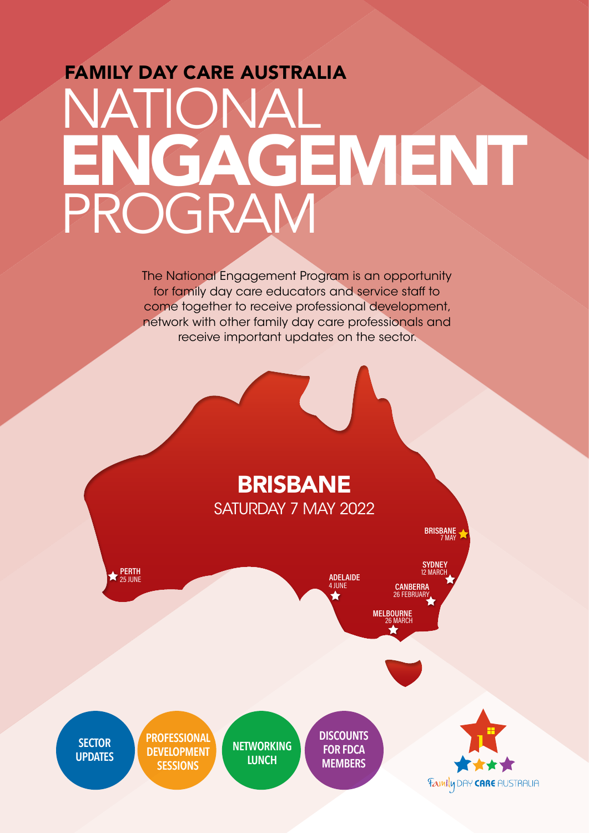## FAMILY DAY CARE AUSTRALIA NATIONAL PROGRAM ENGAGEMENT

The National Engagement Program is an opportunity for family day care educators and service staff to come together to receive professional development, network with other family day care professionals and receive important updates on the sector.

## BRISBANE SATURDAY 7 MAY 2022